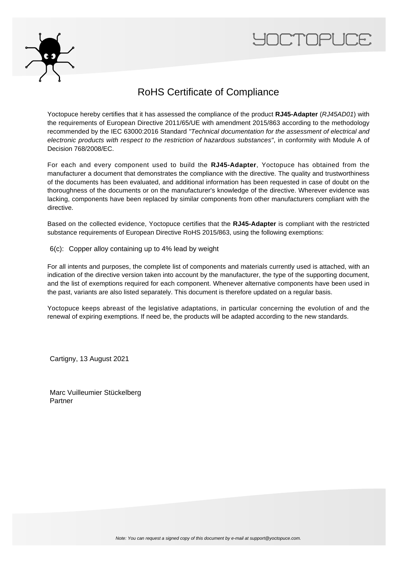



## RoHS Certificate of Compliance

Yoctopuce hereby certifies that it has assessed the compliance of the product **RJ45-Adapter** (RJ45AD01) with the requirements of European Directive 2011/65/UE with amendment 2015/863 according to the methodology recommended by the IEC 63000:2016 Standard "Technical documentation for the assessment of electrical and electronic products with respect to the restriction of hazardous substances", in conformity with Module A of Decision 768/2008/EC.

For each and every component used to build the **RJ45-Adapter**, Yoctopuce has obtained from the manufacturer a document that demonstrates the compliance with the directive. The quality and trustworthiness of the documents has been evaluated, and additional information has been requested in case of doubt on the thoroughness of the documents or on the manufacturer's knowledge of the directive. Wherever evidence was lacking, components have been replaced by similar components from other manufacturers compliant with the directive.

Based on the collected evidence, Yoctopuce certifies that the **RJ45-Adapter** is compliant with the restricted substance requirements of European Directive RoHS 2015/863, using the following exemptions:

6(c): Copper alloy containing up to 4% lead by weight

For all intents and purposes, the complete list of components and materials currently used is attached, with an indication of the directive version taken into account by the manufacturer, the type of the supporting document, and the list of exemptions required for each component. Whenever alternative components have been used in the past, variants are also listed separately. This document is therefore updated on a regular basis.

Yoctopuce keeps abreast of the legislative adaptations, in particular concerning the evolution of and the renewal of expiring exemptions. If need be, the products will be adapted according to the new standards.

Cartigny, 13 August 2021

Marc Vuilleumier Stückelberg Partner